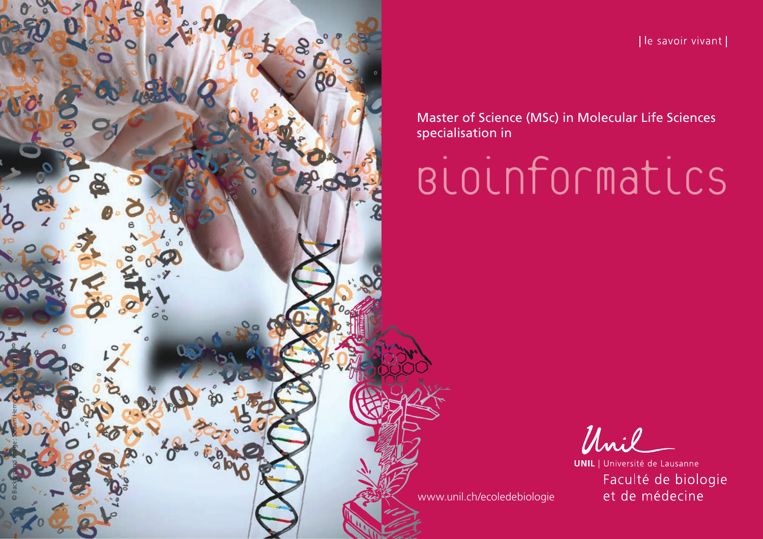© Background image : Shawn Hempel, Shutterstock

[le savoir vivant]

Master of Science (MSc) in Molecular Life Sciences specialisation in

Bioinformatics

Unil

**UNIL** | Université de Lausanne Faculté de biologie et de médecine

[www.unil.ch/ecoledebiologie](http://www.unil.ch/ecoledebiologie)